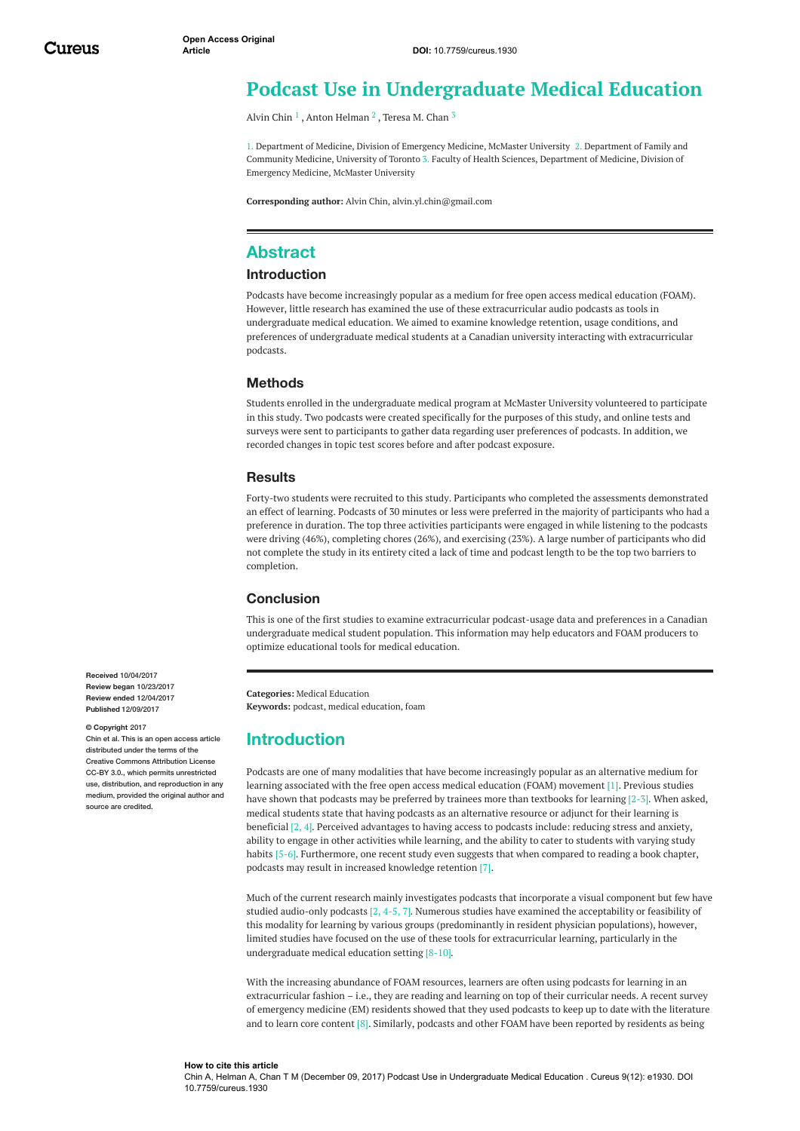# **Podcast Use in Undergraduate Medical Education**

[Alvin](https://www.cureus.com/users/51278-alvin-chin) Chin  $^1$  , Anton [Helman](https://www.cureus.com/users/51283-anton-helman)  $^2$  , [Teresa](https://www.cureus.com/users/23655-teresa-m-chan) M. Chan  $^3$ 

1. Department of Medicine, Division of Emergency Medicine, McMaster University 2. Department of Family and Community Medicine, University of Toronto 3. Faculty of Health Sciences, Department of Medicine, Division of Emergency Medicine, McMaster University

**Corresponding author:** Alvin Chin, alvin.yl.chin@gmail.com

### **Abstract**

### **Introduction**

Podcasts have become increasingly popular as a medium for free open access medical education (FOAM). However, little research has examined the use of these extracurricular audio podcasts as tools in undergraduate medical education. We aimed to examine knowledge retention, usage conditions, and preferences of undergraduate medical students at a Canadian university interacting with extracurricular podcasts.

#### **Methods**

Students enrolled in the undergraduate medical program at McMaster University volunteered to participate in this study. Two podcasts were created specifically for the purposes of this study, and online tests and surveys were sent to participants to gather data regarding user preferences of podcasts. In addition, we recorded changes in topic test scores before and after podcast exposure.

#### **Results**

Forty-two students were recruited to this study. Participants who completed the assessments demonstrated an effect of learning. Podcasts of 30 minutes or less were preferred in the majority of participants who had a preference in duration. The top three activities participants were engaged in while listening to the podcasts were driving (46%), completing chores (26%), and exercising (23%). A large number of participants who did not complete the study in its entirety cited a lack of time and podcast length to be the top two barriers to completion.

### **Conclusion**

This is one of the first studies to examine extracurricular podcast-usage data and preferences in a Canadian undergraduate medical student population. This information may help educators and FOAM producers to optimize educational tools for medical education.

**Categories:** Medical Education **Keywords:** podcast, medical education, foam

## **Introduction**

Podcasts are one of many modalities that have become increasingly popular as an alternative medium for learning associated with the free open access medical education (FOAM) movement [1]. Previous studies have shown that podcasts may be preferred by trainees more than textbooks for learning [2-3]. When asked, medical students state that having podcasts as an alternative resource or adjunct for their learning is beneficial [2, 4]. Perceived advantages to having access to podcasts include: reducing stress and anxiety, ability to engage in other activities while learning, and the ability to cater to students with varying study habits [5-6]. Furthermore, one recent study even suggests that when compared to reading a book chapter, podcasts may result in increased knowledge retention [7].

Much of the current research mainly investigates podcasts that incorporate a visual component but few have studied audio-only podcasts  $[2, 4-5, 7]$ . Numerous studies have examined the acceptability or feasibility of this modality for learning by various groups (predominantly in resident physician populations), however, limited studies have focused on the use of these tools for extracurricular learning, particularly in the undergraduate medical education setting [8-10].

With the increasing abundance of FOAM resources, learners are often using podcasts for learning in an extracurricular fashion – i.e., they are reading and learning on top of their curricular needs. A recent survey of emergency medicine (EM) residents showed that they used podcasts to keep up to date with the literature and to learn core content [8]. Similarly, podcasts and other FOAM have been reported by residents as being

**Received** 10/04/2017 **Review began** 10/23/2017 **Review ended** 12/04/2017 **Published** 12/09/2017

#### **© Copyright** 2017

Chin et al. This is an open access article distributed under the terms of the Creative Commons Attribution License CC-BY 3.0., which permits unrestricted use, distribution, and reproduction in any medium, provided the original author and source are credited.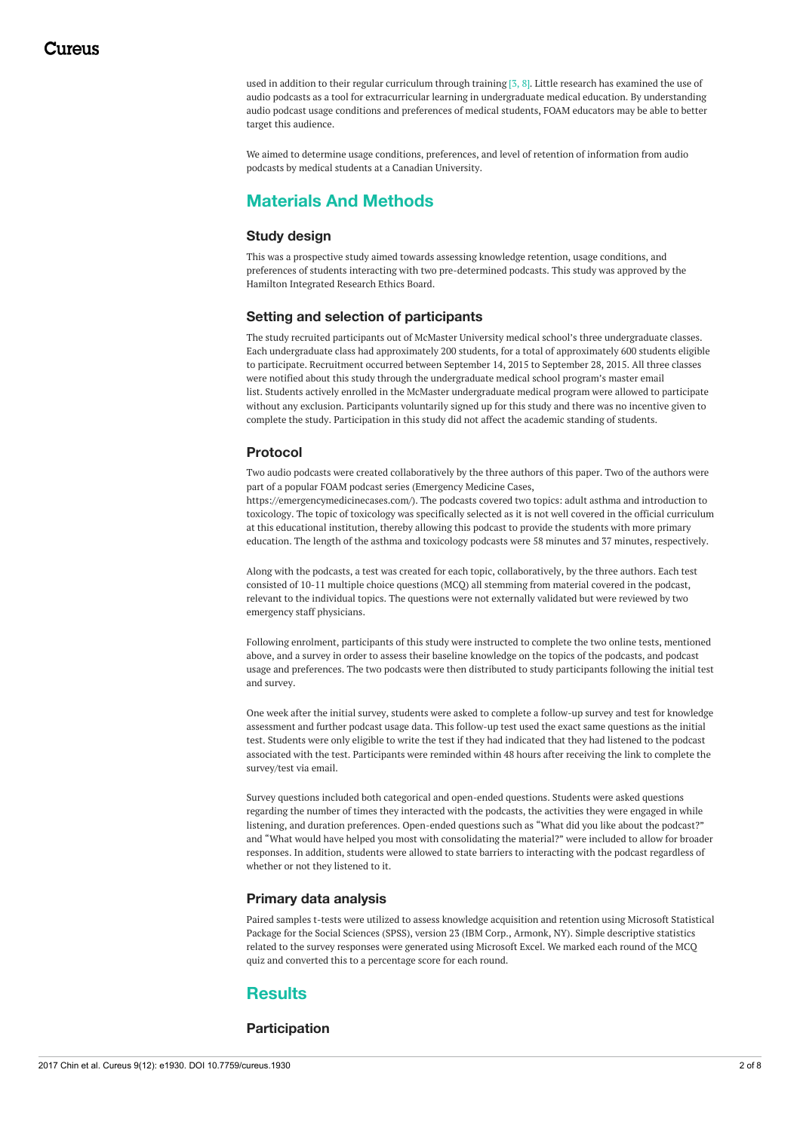used in addition to their regular curriculum through training [3, 8]. Little research has examined the use of audio podcasts as a tool for extracurricular learning in undergraduate medical education. By understanding audio podcast usage conditions and preferences of medical students, FOAM educators may be able to better target this audience.

We aimed to determine usage conditions, preferences, and level of retention of information from audio podcasts by medical students at a Canadian University.

# **Materials And Methods**

### **Study design**

This was a prospective study aimed towards assessing knowledge retention, usage conditions, and preferences of students interacting with two pre-determined podcasts. This study was approved by the Hamilton Integrated Research Ethics Board.

### **Setting and selection of participants**

The study recruited participants out of McMaster University medical school's three undergraduate classes. Each undergraduate class had approximately 200 students, for a total of approximately 600 students eligible to participate. Recruitment occurred between September 14, 2015 to September 28, 2015. All three classes were notified about this study through the undergraduate medical school program's master email list. Students actively enrolled in the McMaster undergraduate medical program were allowed to participate without any exclusion. Participants voluntarily signed up for this study and there was no incentive given to complete the study. Participation in this study did not affect the academic standing of students.

### **Protocol**

Two audio podcasts were created collaboratively by the three authors of this paper. Two of the authors were part of a popular FOAM podcast series (Emergency Medicine Cases,

https://emergencymedicinecases.com/). The podcasts covered two topics: adult asthma and introduction to toxicology. The topic of toxicology was specifically selected as it is not well covered in the official curriculum at this educational institution, thereby allowing this podcast to provide the students with more primary education. The length of the asthma and toxicology podcasts were 58 minutes and 37 minutes, respectively.

Along with the podcasts, a test was created for each topic, collaboratively, by the three authors. Each test consisted of 10-11 multiple choice questions (MCQ) all stemming from material covered in the podcast, relevant to the individual topics. The questions were not externally validated but were reviewed by two emergency staff physicians.

Following enrolment, participants of this study were instructed to complete the two online tests, mentioned above, and a survey in order to assess their baseline knowledge on the topics of the podcasts, and podcast usage and preferences. The two podcasts were then distributed to study participants following the initial test and survey.

One week after the initial survey, students were asked to complete a follow-up survey and test for knowledge assessment and further podcast usage data. This follow-up test used the exact same questions as the initial test. Students were only eligible to write the test if they had indicated that they had listened to the podcast associated with the test. Participants were reminded within 48 hours after receiving the link to complete the survey/test via email.

Survey questions included both categorical and open-ended questions. Students were asked questions regarding the number of times they interacted with the podcasts, the activities they were engaged in while listening, and duration preferences. Open-ended questions such as "What did you like about the podcast?" and "What would have helped you most with consolidating the material?" were included to allow for broader responses. In addition, students were allowed to state barriers to interacting with the podcast regardless of whether or not they listened to it.

### **Primary data analysis**

Paired samples t-tests were utilized to assess knowledge acquisition and retention using Microsoft Statistical Package for the Social Sciences (SPSS), version 23 (IBM Corp., Armonk, NY). Simple descriptive statistics related to the survey responses were generated using Microsoft Excel. We marked each round of the MCQ quiz and converted this to a percentage score for each round.

# **Results**

### **Participation**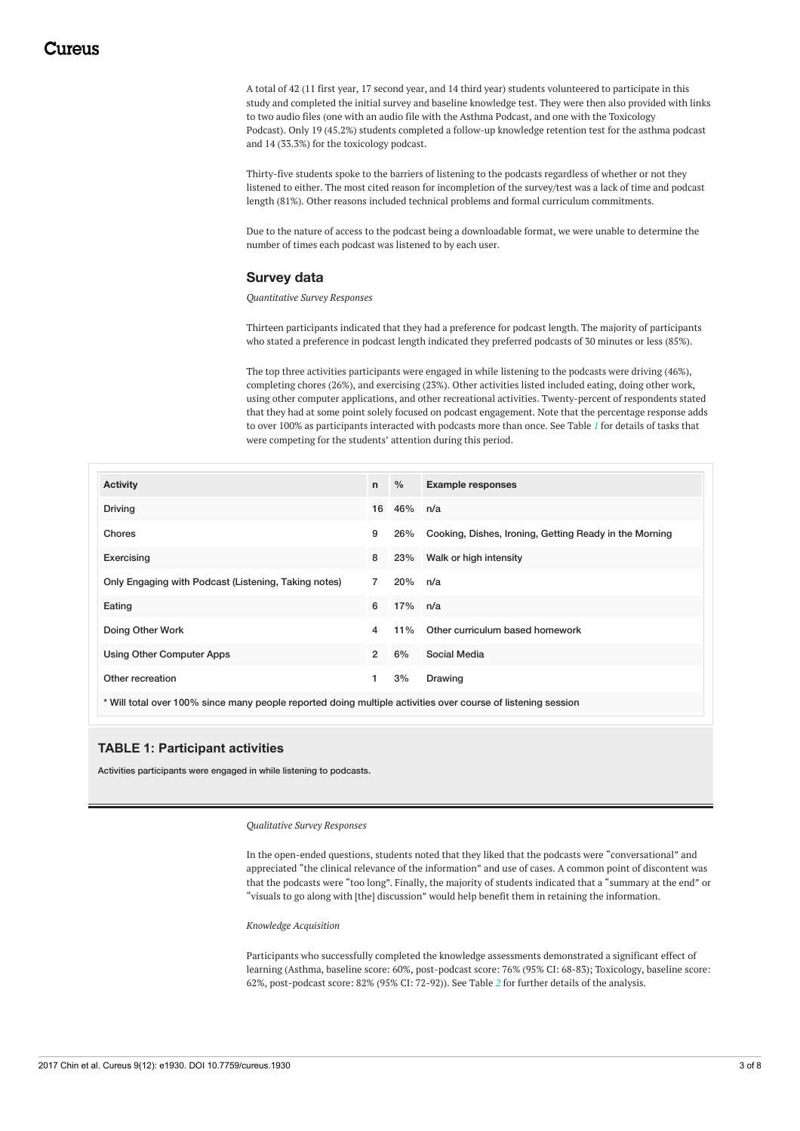A total of 42 (11 first year, 17 second year, and 14 third year) students volunteered to participate in this study and completed the initial survey and baseline knowledge test. They were then also provided with links to two audio files (one with an audio file with the Asthma Podcast, and one with the Toxicology Podcast). Only 19 (45.2%) students completed a follow-up knowledge retention test for the asthma podcast and 14 (33.3%) for the toxicology podcast.

Thirty-five students spoke to the barriers of listening to the podcasts regardless of whether or not they listened to either. The most cited reason for incompletion of the survey/test was a lack of time and podcast length (81%). Other reasons included technical problems and formal curriculum commitments.

Due to the nature of access to the podcast being a downloadable format, we were unable to determine the number of times each podcast was listened to by each user.

#### **Survey data**

#### *Quantitative Survey Responses*

Thirteen participants indicated that they had a preference for podcast length. The majority of participants who stated a preference in podcast length indicated they preferred podcasts of 30 minutes or less (85%).

The top three activities participants were engaged in while listening to the podcasts were driving (46%), completing chores (26%), and exercising (23%). Other activities listed included eating, doing other work, using other computer applications, and other recreational activities. Twenty-percent of respondents stated that they had at some point solely focused on podcast engagement. Note that the percentage response adds to over 100% as participants interacted with podcasts more than once. See Table *[1](#page-2-0)* for details of tasks that were competing for the students' attention during this period.

<span id="page-2-0"></span>

| <b>Activity</b>                                                                                              | n              | $\%$       | <b>Example responses</b>                               |  |  |  |  |  |
|--------------------------------------------------------------------------------------------------------------|----------------|------------|--------------------------------------------------------|--|--|--|--|--|
| <b>Driving</b>                                                                                               | 16             | 46% n/a    |                                                        |  |  |  |  |  |
| Chores                                                                                                       | 9              | 26%        | Cooking, Dishes, Ironing, Getting Ready in the Morning |  |  |  |  |  |
| Exercising                                                                                                   | 8              | 23%        | Walk or high intensity                                 |  |  |  |  |  |
| Only Engaging with Podcast (Listening, Taking notes)                                                         | $\overline{7}$ | 20% n/a    |                                                        |  |  |  |  |  |
| Eating                                                                                                       | 6              | $17\%$ n/a |                                                        |  |  |  |  |  |
| Doing Other Work                                                                                             | 4              | $11\%$     | Other curriculum based homework                        |  |  |  |  |  |
| <b>Using Other Computer Apps</b>                                                                             | $\overline{2}$ | 6%         | Social Media                                           |  |  |  |  |  |
| Other recreation                                                                                             | 1              | 3%         | Drawing                                                |  |  |  |  |  |
| * Will total over 100% since many people reported doing multiple activities over course of listening session |                |            |                                                        |  |  |  |  |  |

### **TABLE 1: Participant activities**

Activities participants were engaged in while listening to podcasts.

*Qualitative Survey Responses*

In the open-ended questions, students noted that they liked that the podcasts were "conversational" and appreciated "the clinical relevance of the information" and use of cases. A common point of discontent was that the podcasts were "too long". Finally, the majority of students indicated that a "summary at the end" or "visuals to go along with [the] discussion" would help benefit them in retaining the information.

*Knowledge Acquisition*

Participants who successfully completed the knowledge assessments demonstrated a significant effect of learning (Asthma, baseline score: 60%, post-podcast score: 76% (95% CI: 68-83); Toxicology, baseline score: 62%, post-podcast score: 82% (95% CI: 72-92)). See Table *[2](#page-3-0)* for further details of the analysis.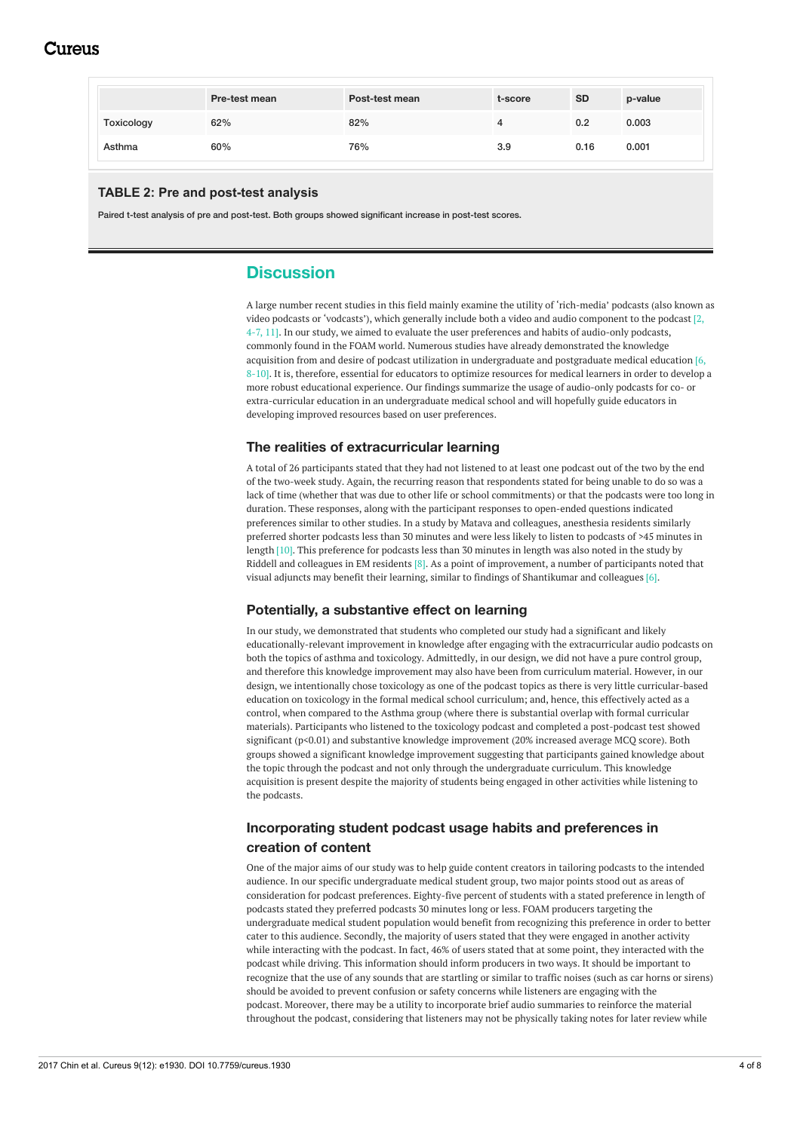# Cureus

<span id="page-3-0"></span>

|            | <b>Pre-test mean</b> | Post-test mean | t-score | <b>SD</b> | p-value |
|------------|----------------------|----------------|---------|-----------|---------|
| Toxicology | 62%                  | 82%            |         | 0.2       | 0.003   |
| Asthma     | 60%                  | 76%            | 3.9     | 0.16      | 0.001   |

### **TABLE 2: Pre and post-test analysis**

Paired t-test analysis of pre and post-test. Both groups showed significant increase in post-test scores.

# **Discussion**

A large number recent studies in this field mainly examine the utility of 'rich-media' podcasts (also known as video podcasts or 'vodcasts'), which generally include both a video and audio component to the podcast [2, 4-7, 11]. In our study, we aimed to evaluate the user preferences and habits of audio-only podcasts, commonly found in the FOAM world. Numerous studies have already demonstrated the knowledge acquisition from and desire of podcast utilization in undergraduate and postgraduate medical education [6, 8-10]. It is, therefore, essential for educators to optimize resources for medical learners in order to develop a more robust educational experience. Our findings summarize the usage of audio-only podcasts for co- or extra-curricular education in an undergraduate medical school and will hopefully guide educators in developing improved resources based on user preferences.

### **The realities of extracurricular learning**

A total of 26 participants stated that they had not listened to at least one podcast out of the two by the end of the two-week study. Again, the recurring reason that respondents stated for being unable to do so was a lack of time (whether that was due to other life or school commitments) or that the podcasts were too long in duration. These responses, along with the participant responses to open-ended questions indicated preferences similar to other studies. In a study by Matava and colleagues, anesthesia residents similarly preferred shorter podcasts less than 30 minutes and were less likely to listen to podcasts of >45 minutes in length [10]. This preference for podcasts less than 30 minutes in length was also noted in the study by Riddell and colleagues in EM residents  $[8]$ . As a point of improvement, a number of participants noted that visual adjuncts may benefit their learning, similar to findings of Shantikumar and colleagues [6].

### **Potentially, a substantive effect on learning**

In our study, we demonstrated that students who completed our study had a significant and likely educationally-relevant improvement in knowledge after engaging with the extracurricular audio podcasts on both the topics of asthma and toxicology. Admittedly, in our design, we did not have a pure control group, and therefore this knowledge improvement may also have been from curriculum material. However, in our design, we intentionally chose toxicology as one of the podcast topics as there is very little curricular-based education on toxicology in the formal medical school curriculum; and, hence, this effectively acted as a control, when compared to the Asthma group (where there is substantial overlap with formal curricular materials). Participants who listened to the toxicology podcast and completed a post-podcast test showed significant (p<0.01) and substantive knowledge improvement (20% increased average MCQ score). Both groups showed a significant knowledge improvement suggesting that participants gained knowledge about the topic through the podcast and not only through the undergraduate curriculum. This knowledge acquisition is present despite the majority of students being engaged in other activities while listening to the podcasts.

## **Incorporating student podcast usage habits and preferences in creation of content**

One of the major aims of our study was to help guide content creators in tailoring podcasts to the intended audience. In our specific undergraduate medical student group, two major points stood out as areas of consideration for podcast preferences. Eighty-five percent of students with a stated preference in length of podcasts stated they preferred podcasts 30 minutes long or less. FOAM producers targeting the undergraduate medical student population would benefit from recognizing this preference in order to better cater to this audience. Secondly, the majority of users stated that they were engaged in another activity while interacting with the podcast. In fact, 46% of users stated that at some point, they interacted with the podcast while driving. This information should inform producers in two ways. It should be important to recognize that the use of any sounds that are startling or similar to traffic noises (such as car horns or sirens) should be avoided to prevent confusion or safety concerns while listeners are engaging with the podcast. Moreover, there may be a utility to incorporate brief audio summaries to reinforce the material throughout the podcast, considering that listeners may not be physically taking notes for later review while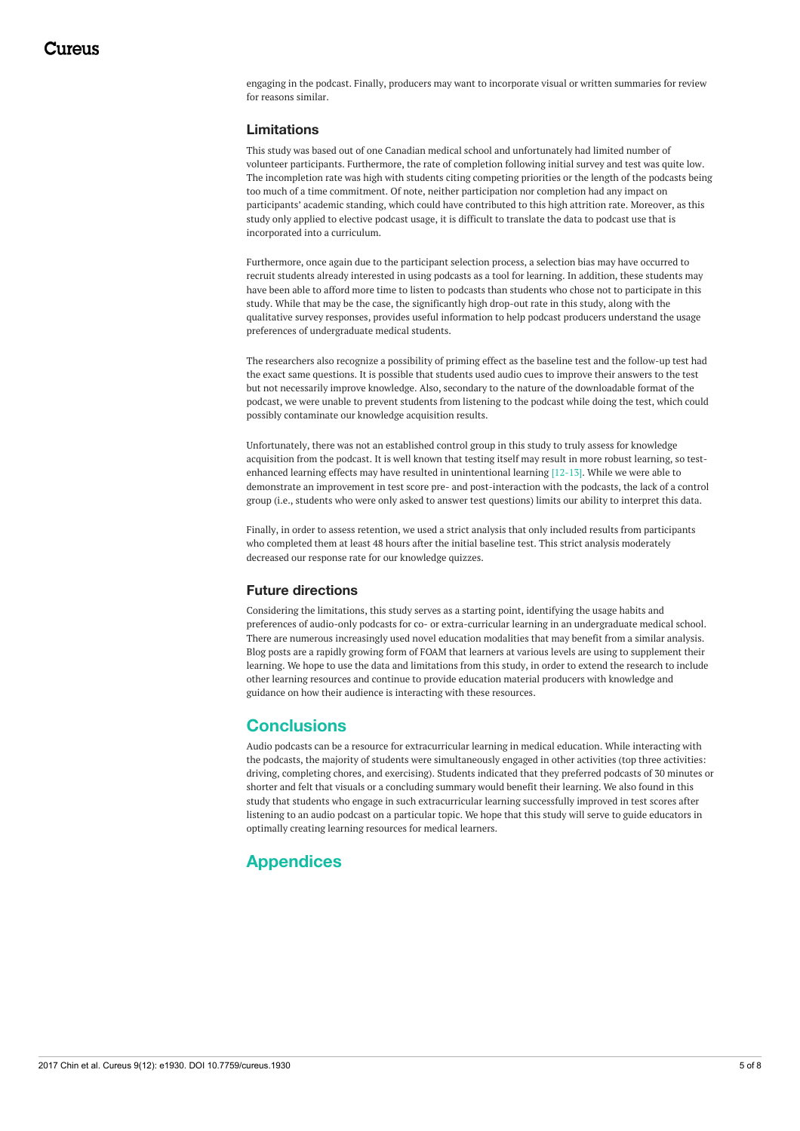engaging in the podcast. Finally, producers may want to incorporate visual or written summaries for review for reasons similar.

### **Limitations**

This study was based out of one Canadian medical school and unfortunately had limited number of volunteer participants. Furthermore, the rate of completion following initial survey and test was quite low. The incompletion rate was high with students citing competing priorities or the length of the podcasts being too much of a time commitment. Of note, neither participation nor completion had any impact on participants' academic standing, which could have contributed to this high attrition rate. Moreover, as this study only applied to elective podcast usage, it is difficult to translate the data to podcast use that is incorporated into a curriculum.

Furthermore, once again due to the participant selection process, a selection bias may have occurred to recruit students already interested in using podcasts as a tool for learning. In addition, these students may have been able to afford more time to listen to podcasts than students who chose not to participate in this study. While that may be the case, the significantly high drop-out rate in this study, along with the qualitative survey responses, provides useful information to help podcast producers understand the usage preferences of undergraduate medical students.

The researchers also recognize a possibility of priming effect as the baseline test and the follow-up test had the exact same questions. It is possible that students used audio cues to improve their answers to the test but not necessarily improve knowledge. Also, secondary to the nature of the downloadable format of the podcast, we were unable to prevent students from listening to the podcast while doing the test, which could possibly contaminate our knowledge acquisition results.

Unfortunately, there was not an established control group in this study to truly assess for knowledge acquisition from the podcast. It is well known that testing itself may result in more robust learning, so testenhanced learning effects may have resulted in unintentional learning  $[12-13]$ . While we were able to demonstrate an improvement in test score pre- and post-interaction with the podcasts, the lack of a control group (i.e., students who were only asked to answer test questions) limits our ability to interpret this data.

Finally, in order to assess retention, we used a strict analysis that only included results from participants who completed them at least 48 hours after the initial baseline test. This strict analysis moderately decreased our response rate for our knowledge quizzes.

### **Future directions**

Considering the limitations, this study serves as a starting point, identifying the usage habits and preferences of audio-only podcasts for co- or extra-curricular learning in an undergraduate medical school. There are numerous increasingly used novel education modalities that may benefit from a similar analysis. Blog posts are a rapidly growing form of FOAM that learners at various levels are using to supplement their learning. We hope to use the data and limitations from this study, in order to extend the research to include other learning resources and continue to provide education material producers with knowledge and guidance on how their audience is interacting with these resources.

# **Conclusions**

Audio podcasts can be a resource for extracurricular learning in medical education. While interacting with the podcasts, the majority of students were simultaneously engaged in other activities (top three activities: driving, completing chores, and exercising). Students indicated that they preferred podcasts of 30 minutes or shorter and felt that visuals or a concluding summary would benefit their learning. We also found in this study that students who engage in such extracurricular learning successfully improved in test scores after listening to an audio podcast on a particular topic. We hope that this study will serve to guide educators in optimally creating learning resources for medical learners.

# **Appendices**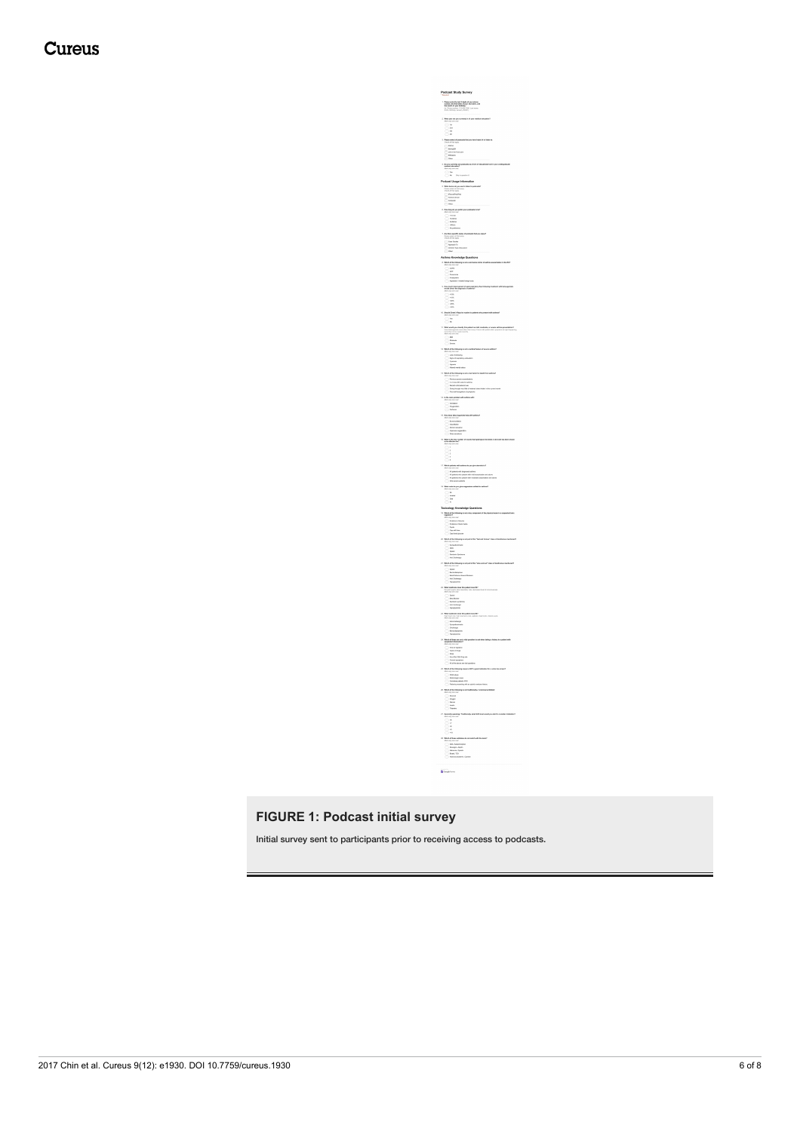# Cureus

Podcast Study Survey  $\label{eq:1} \begin{array}{ll} \textbf{P}{\text{trans}}\text{ is a new final } \textbf{A} \text{ spin of part plane}\\ \textbf{nonline of set between } \textbf{A} \text{ spin and some, and}\\ \textbf{In model of type } \textbf{B} \textbf{F} \textbf{M} \textbf{F} \textbf{M} \textbf{F}\\ \textbf{In model: } \textbf{C} \textbf{F} \textbf{D} \textbf{B} \textbf{F} \textbf{D} \textbf{B} \textbf{F} \textbf{D} \textbf{F}\\ \textbf{A} \textbf{F} \textbf{D} \textbf{B} \textbf{D} \textbf{B$  $\begin{array}{l} \begin{tabular}{l|c|c|c|c} \hline \textbf{a} & \textbf{a} & \textbf{b} & \textbf{c} \\ \hline \textbf{a} & \textbf{b} & \textbf{c} & \textbf{c} \\ \hline \textbf{a} & \textbf{b} & \textbf{c} & \textbf{c} \\ \hline \textbf{a} & \textbf{b} & \textbf{c} & \textbf{c} \\ \hline \textbf{a} & \textbf{b} & \textbf{c} & \textbf{c} \\ \hline \textbf{a} & \textbf{b} & \textbf{c} & \textbf{c} \\ \hline \textbf{a} & \$  $\begin{tabular}{l|l|l|} \hline & \multicolumn{3}{l}{\multicolumn{3}{l}{\multicolumn{3}{l}{\multicolumn{3}{l}{\multicolumn{3}{l}{\multicolumn{3}{l}{\multicolumn{3}{l}{\multicolumn{3}{l}{\multicolumn{3}{l}{\multicolumn{3}{l}{\multicolumn{3}{l}{\multicolumn{3}{l}{\multicolumn{3}{l}{\multicolumn{3}{l}{\multicolumn{3}{l}{\multicolumn{3}{l}{\multicolumn{3}{l}{\multicolumn{3}{l}{\multicolumn{3}{l}{\multicolumn{3}{l}{\multicolumn{3}{l}{\multicolumn{3}{l}{\multicolumn{$  $\begin{array}{ll} \begin{tabular}{|c|c|} \hline \multicolumn{3}{|c|}{\hline \multicolumn{3}{|c|}{\hline \multicolumn{3}{|c|}{\hline \multicolumn{3}{|c|}{\hline \multicolumn{3}{|c|}{\hline \multicolumn{3}{|c|}{\hline \multicolumn{3}{|c|}{\hline \multicolumn{3}{|c|}{\hline \multicolumn{3}{|c|}{\hline \multicolumn{3}{|c|}{\hline \multicolumn{3}{|c|}{\hline \multicolumn{3}{|c|}{\hline \multicolumn{3}{|c|}{\hline \multicolumn{3}{|c|}{\hline \mult$  $\begin{split} &\bigcirc \quad \text{Therefore} \\ &\text{if} \quad \text{for } \text{min} \neq \text{min} \text{ and } \text{min} \text{ and } \text{min} \text{ and } \text{min} \text{ and } \text{min} \text{ and } \text{min} \text{ and } \text{min} \text{ and } \text{min} \text{ and } \text{min} \text{ and } \text{min} \text{ and } \text{min} \text{ and } \text{min} \text{ and } \text{min} \text{ and } \text{min} \text{ and } \text{min} \text{ and } \text{min} \text{ and } \text{min} \text{ and } \text{min} \text{ and } \text$  $\begin{array}{rcl} \textbf{1} & \textbf{1} & \textbf{1} & \textbf{1} \\ \textbf{2} & \textbf{1} & \textbf{1} & \textbf{1} & \textbf{1} \\ \textbf{3} & \textbf{1} & \textbf{1} & \textbf{1} & \textbf{1} \\ \textbf{4} & \textbf{1} & \textbf{1} & \textbf{1} & \textbf{1} \\ \textbf{5} & \textbf{1} & \textbf{1} & \textbf{1} & \textbf{1} \\ \textbf{6} & \textbf{1} & \textbf{1} & \textbf{1} & \textbf{1} \\ \textbf{7} & \text$  $\overbrace{\mathbf{B}}^{\text{Conplement}}$ 

### **FIGURE 1: Podcast initial survey**

Initial survey sent to participants prior to receiving access to podcasts.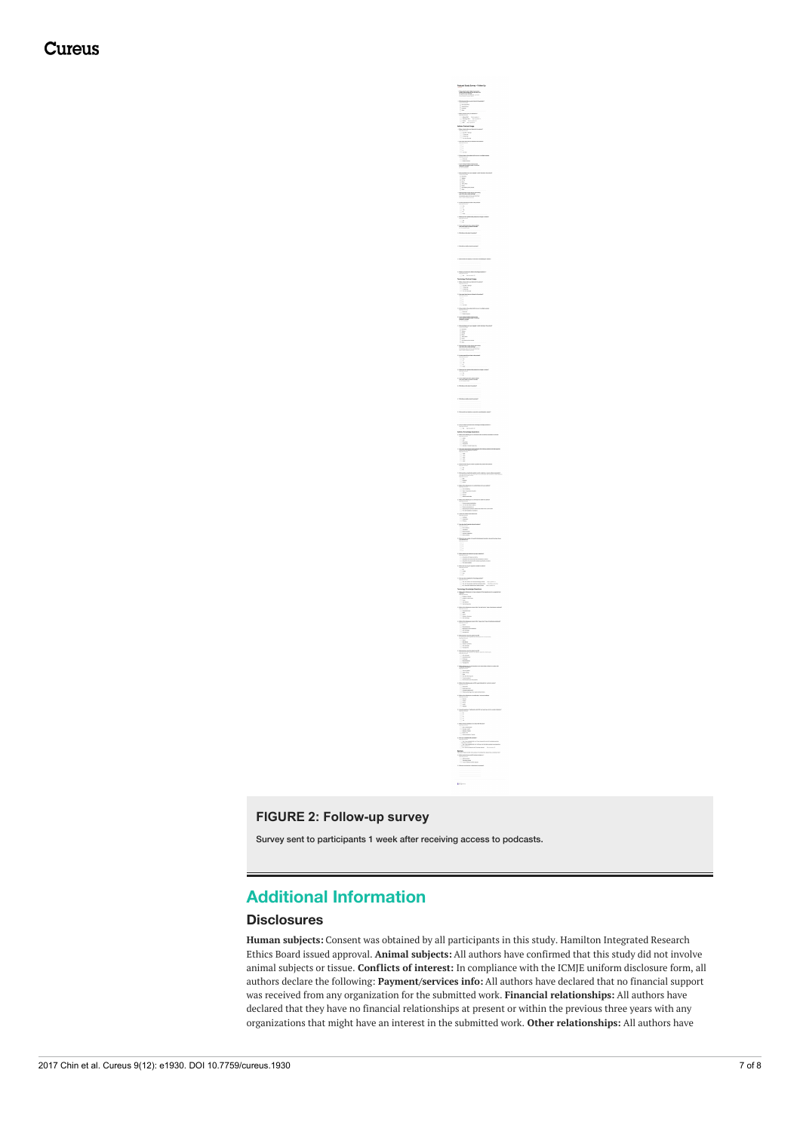**Cureus** 

### **FIGURE 2: Follow-up survey**

Survey sent to participants 1 week after receiving access to podcasts.

# **Additional Information**

### **Disclosures**

**Human subjects:** Consent was obtained by all participants in this study. Hamilton Integrated Research Ethics Board issued approval. **Animal subjects:** All authors have confirmed that this study did not involve animal subjects or tissue. **Conflicts of interest:** In compliance with the ICMJE uniform disclosure form, all authors declare the following: **Payment/services info:** All authors have declared that no financial support was received from any organization for the submitted work. **Financial relationships:** All authors have declared that they have no financial relationships at present or within the previous three years with any organizations that might have an interest in the submitted work. **Other relationships:** All authors have